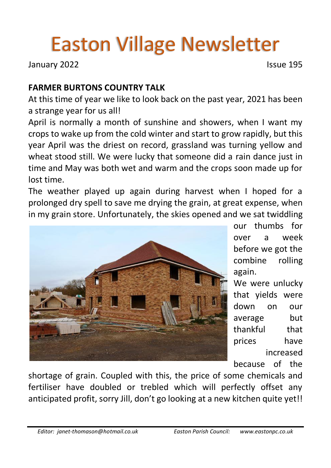# Easton Village Newsletter

January 2022 **Issue 195** 

### **FARMER BURTONS COUNTRY TALK**

At this time of year we like to look back on the past year, 2021 has been a strange year for us all!

April is normally a month of sunshine and showers, when I want my crops to wake up from the cold winter and start to grow rapidly, but this year April was the driest on record, grassland was turning yellow and wheat stood still. We were lucky that someone did a rain dance just in time and May was both wet and warm and the crops soon made up for lost time.

The weather played up again during harvest when I hoped for a prolonged dry spell to save me drying the grain, at great expense, when in my grain store. Unfortunately, the skies opened and we sat twiddling



our thumbs for over a week before we got the combine rolling again.

We were unlucky that yields were down on our average but thankful that prices have increased because of the

shortage of grain. Coupled with this, the price of some chemicals and fertiliser have doubled or trebled which will perfectly offset any anticipated profit, sorry Jill, don't go looking at a new kitchen quite yet!!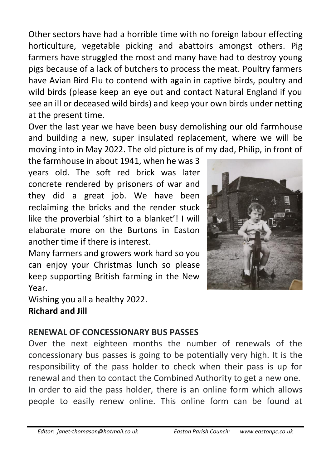Other sectors have had a horrible time with no foreign labour effecting horticulture, vegetable picking and abattoirs amongst others. Pig farmers have struggled the most and many have had to destroy young pigs because of a lack of butchers to process the meat. Poultry farmers have Avian Bird Flu to contend with again in captive birds, poultry and wild birds (please keep an eye out and contact Natural England if you see an ill or deceased wild birds) and keep your own birds under netting at the present time.

Over the last year we have been busy demolishing our old farmhouse and building a new, super insulated replacement, where we will be moving into in May 2022. The old picture is of my dad, Philip, in front of

the farmhouse in about 1941, when he was 3 years old. The soft red brick was later concrete rendered by prisoners of war and they did a great job. We have been reclaiming the bricks and the render stuck like the proverbial 'shirt to a blanket'! I will elaborate more on the Burtons in Easton another time if there is interest.

Many farmers and growers work hard so you can enjoy your Christmas lunch so please keep supporting British farming in the New Year.

Wishing you all a healthy 2022.

**Richard and Jill**

## **RENEWAL OF CONCESSIONARY BUS PASSES**

Over the next eighteen months the number of renewals of the concessionary bus passes is going to be potentially very high. It is the responsibility of the pass holder to check when their pass is up for renewal and then to contact the Combined Authority to get a new one. In order to aid the pass holder, there is an online form which allows people to easily renew online. This online form can be found at

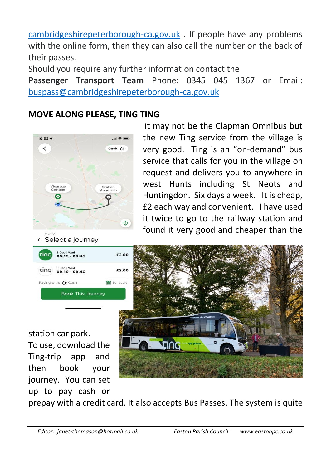[cambridgeshirepeterborough-ca.gov.uk](https://transport.cambridgeshirepeterborough-ca.gov.uk/buses/free-bus-passes/) . If people have any problems with the online form, then they can also call the number on the back of their passes.

Should you require any further information contact the

**Passenger Transport Team** Phone: 0345 045 1367 or Email: [buspass@cambridgeshirepeterborough-ca.gov.uk](mailto:buspass@cambridgeshirepeterborough-ca.gov.uk)

#### **MOVE ALONG PLEASE, TING TING**



It may not be the Clapman Omnibus but the new Ting service from the village is very good. Ting is an "on-demand" bus service that calls for you in the village on request and delivers you to anywhere in west Hunts including St Neots and Huntingdon. Six days a week. It is cheap, £2 each way and convenient. I have used it twice to go to the railway station and found it very good and cheaper than the



station car park.

To use, download the Ting-trip app and then book your journey. You can set up to pay cash or



prepay with a credit card. It also accepts Bus Passes. The system is quite